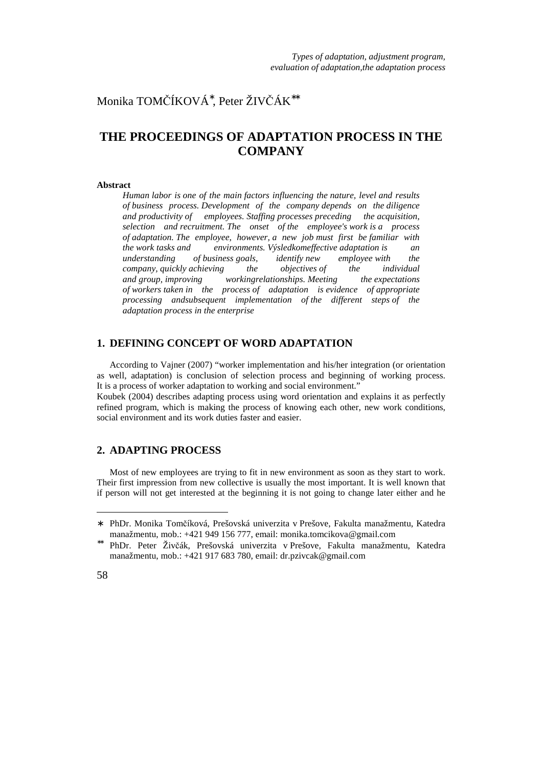Monika TOMČÍKOVÁ<sup>∗</sup> , Peter ŽIVČÁK∗∗

# **THE PROCEEDINGS OF ADAPTATION PROCESS IN THE COMPANY**

#### **Abstract**

*Human labor is one of the main factors influencing the nature, level and results of business process. Development of the company depends on the diligence and productivity of employees. Staffing processes preceding the acquisition, selection and recruitment. The onset of the employee's work is a process of adaptation. The employee, however, a new job must first be familiar with the work tasks and environments. Výsledkomeffective adaptation is an understanding of business goals, identify new employee with the company, quickly achieving the objectives of the individual and group, improving workingrelationships. Meeting the expectations of workers taken in the process of adaptation is evidence of appropriate processing andsubsequent implementation of the different steps of the adaptation process in the enterprise* 

# **1. DEFINING CONCEPT OF WORD ADAPTATION**

According to Vajner (2007) "worker implementation and his/her integration (or orientation as well, adaptation) is conclusion of selection process and beginning of working process. It is a process of worker adaptation to working and social environment."

Koubek (2004) describes adapting process using word orientation and explains it as perfectly refined program, which is making the process of knowing each other, new work conditions, social environment and its work duties faster and easier.

### **2. ADAPTING PROCESS**

Most of new employees are trying to fit in new environment as soon as they start to work. Their first impression from new collective is usually the most important. It is well known that if person will not get interested at the beginning it is not going to change later either and he

 $\overline{a}$ 

<sup>∗</sup> PhDr. Monika Tomčíková, Prešovská univerzita v Prešove, Fakulta manažmentu, Katedra manažmentu, mob.: +421 949 156 777, email: monika.tomcikova@gmail.com

<sup>∗∗</sup> PhDr. Peter Živčák, Prešovská univerzita v Prešove, Fakulta manažmentu, Katedra manažmentu, mob.: +421 917 683 780, email: dr.pzivcak@gmail.com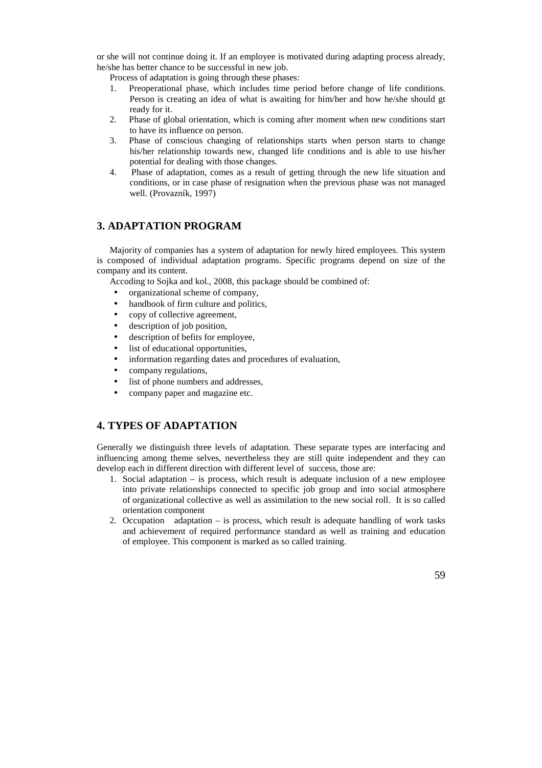or she will not continue doing it. If an employee is motivated during adapting process already, he/she has better chance to be successful in new job.

Process of adaptation is going through these phases:

- 1. Preoperational phase, which includes time period before change of life conditions. Person is creating an idea of what is awaiting for him/her and how he/she should gt ready for it.
- 2. Phase of global orientation, which is coming after moment when new conditions start to have its influence on person.
- 3. Phase of conscious changing of relationships starts when person starts to change his/her relationship towards new, changed life conditions and is able to use his/her potential for dealing with those changes.
- 4. Phase of adaptation, comes as a result of getting through the new life situation and conditions, or in case phase of resignation when the previous phase was not managed well. (Provazník, 1997)

# **3. ADAPTATION PROGRAM**

Majority of companies has a system of adaptation for newly hired employees. This system is composed of individual adaptation programs. Specific programs depend on size of the company and its content.

Accoding to Sojka and kol., 2008, this package should be combined of:

- organizational scheme of company,
- handbook of firm culture and politics,
- copy of collective agreement,
- description of job position,
- description of befits for employee.
- list of educational opportunities,
- information regarding dates and procedures of evaluation,
- company regulations,
- list of phone numbers and addresses.
- company paper and magazine etc.

# **4. TYPES OF ADAPTATION**

Generally we distinguish three levels of adaptation. These separate types are interfacing and influencing among theme selves, nevertheless they are still quite independent and they can develop each in different direction with different level of success, those are:

- 1. Social adaptation is process, which result is adequate inclusion of a new employee into private relationships connected to specific job group and into social atmosphere of organizational collective as well as assimilation to the new social roll. It is so called orientation component
- 2. Occupation adaptation is process, which result is adequate handling of work tasks and achievement of required performance standard as well as training and education of employee. This component is marked as so called training.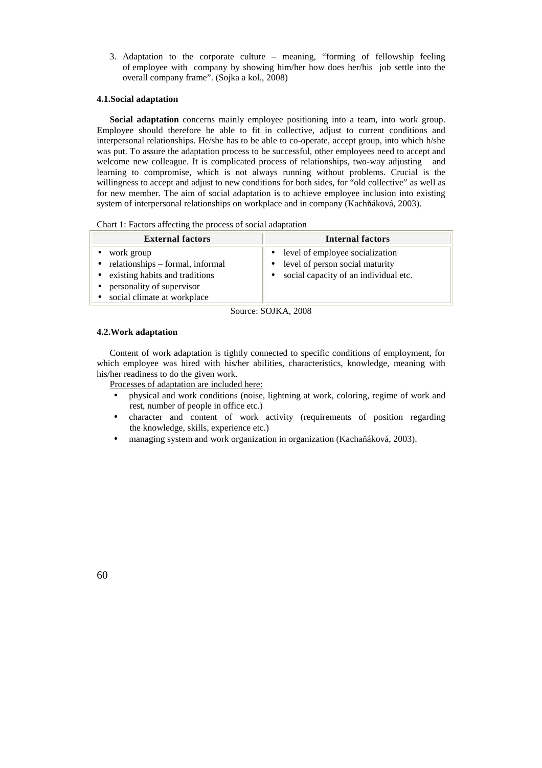3. Adaptation to the corporate culture – meaning, "forming of fellowship feeling of employee with company by showing him/her how does her/his job settle into the overall company frame". (Sojka a kol., 2008)

#### **4.1.Social adaptation**

**Social adaptation** concerns mainly employee positioning into a team, into work group. Employee should therefore be able to fit in collective, adjust to current conditions and interpersonal relationships. He/she has to be able to co-operate, accept group, into which h/she was put. To assure the adaptation process to be successful, other employees need to accept and welcome new colleague. It is complicated process of relationships, two-way adjusting and learning to compromise, which is not always running without problems. Crucial is the willingness to accept and adjust to new conditions for both sides, for "old collective" as well as for new member. The aim of social adaptation is to achieve employee inclusion into existing system of interpersonal relationships on workplace and in company (Kachňáková, 2003).

Chart 1: Factors affecting the process of social adaptation

| <b>External factors</b>                                                                                                                                                 | <b>Internal factors</b>                                                                                         |
|-------------------------------------------------------------------------------------------------------------------------------------------------------------------------|-----------------------------------------------------------------------------------------------------------------|
| work group<br>$\bullet$ relationships – formal, informal<br>• existing habits and traditions<br>personality of supervisor<br>$\bullet$<br>• social climate at workplace | • level of employee socialization<br>• level of person social maturity<br>social capacity of an individual etc. |
| $\sim$                                                                                                                                                                  | $\alpha$ $\alpha$ $\alpha$ $\alpha$ $\alpha$                                                                    |

Source: SOJKA, 2008

#### **4.2.Work adaptation**

Content of work adaptation is tightly connected to specific conditions of employment, for which employee was hired with his/her abilities, characteristics, knowledge, meaning with his/her readiness to do the given work.

Processes of adaptation are included here:

- physical and work conditions (noise, lightning at work, coloring, regime of work and rest, number of people in office etc.)
- character and content of work activity (requirements of position regarding the knowledge, skills, experience etc.)
- managing system and work organization in organization (Kachaňáková, 2003).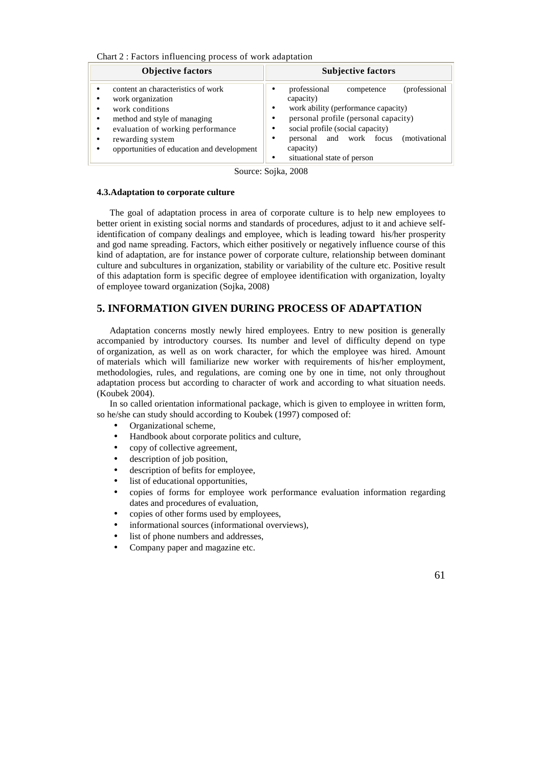Chart 2 : Factors influencing process of work adaptation

| <b>Objective factors</b>                                                                                                                                                                                                                                                | <b>Subjective factors</b>                                                                                                                                                                                                                                                                      |
|-------------------------------------------------------------------------------------------------------------------------------------------------------------------------------------------------------------------------------------------------------------------------|------------------------------------------------------------------------------------------------------------------------------------------------------------------------------------------------------------------------------------------------------------------------------------------------|
| content an characteristics of work<br>work organization<br>٠<br>work conditions<br>٠<br>method and style of managing<br>$\bullet$<br>evaluation of working performance<br>$\bullet$<br>rewarding system<br>$\bullet$<br>opportunities of education and development<br>٠ | (professional)<br>professional<br>competence<br>٠<br>capacity)<br>work ability (performance capacity)<br>٠<br>personal profile (personal capacity)<br>٠<br>social profile (social capacity)<br>٠<br>personal and work focus<br>(motivational)<br>٠<br>capacity)<br>situational state of person |

Source: Sojka, 2008

#### **4.3.Adaptation to corporate culture**

The goal of adaptation process in area of corporate culture is to help new employees to better orient in existing social norms and standards of procedures, adjust to it and achieve selfidentification of company dealings and employee, which is leading toward his/her prosperity and god name spreading. Factors, which either positively or negatively influence course of this kind of adaptation, are for instance power of corporate culture, relationship between dominant culture and subcultures in organization, stability or variability of the culture etc. Positive result of this adaptation form is specific degree of employee identification with organization, loyalty of employee toward organization (Sojka, 2008)

# **5. INFORMATION GIVEN DURING PROCESS OF ADAPTATION**

Adaptation concerns mostly newly hired employees. Entry to new position is generally accompanied by introductory courses. Its number and level of difficulty depend on type of organization, as well as on work character, for which the employee was hired. Amount of materials which will familiarize new worker with requirements of his/her employment, methodologies, rules, and regulations, are coming one by one in time, not only throughout adaptation process but according to character of work and according to what situation needs. (Koubek 2004).

In so called orientation informational package, which is given to employee in written form, so he/she can study should according to Koubek (1997) composed of:

- Organizational scheme.
- Handbook about corporate politics and culture,
- copy of collective agreement,
- description of job position,
- description of befits for employee,
- list of educational opportunities,
- copies of forms for employee work performance evaluation information regarding dates and procedures of evaluation,
- copies of other forms used by employees,
- informational sources (informational overviews).
- list of phone numbers and addresses,
- Company paper and magazine etc.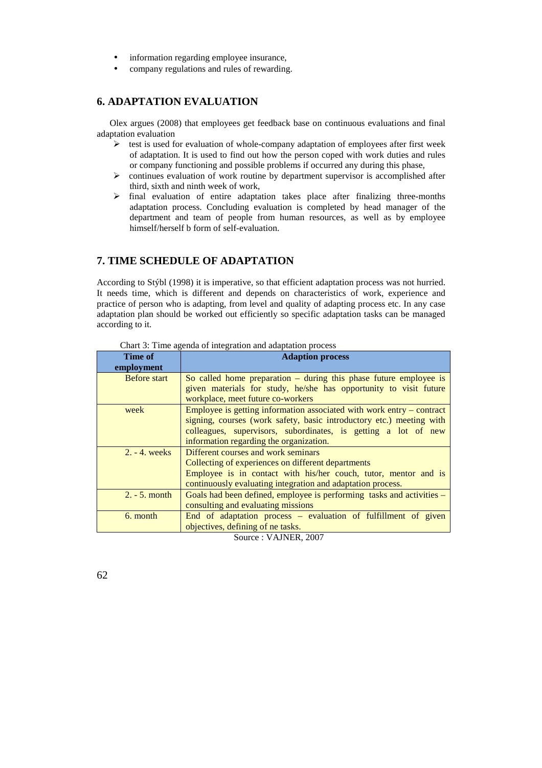- information regarding employee insurance,
- company regulations and rules of rewarding.

### **6. ADAPTATION EVALUATION**

Olex argues (2008) that employees get feedback base on continuous evaluations and final adaptation evaluation

- $\triangleright$  test is used for evaluation of whole-company adaptation of employees after first week of adaptation. It is used to find out how the person coped with work duties and rules or company functioning and possible problems if occurred any during this phase,
- continues evaluation of work routine by department supervisor is accomplished after third, sixth and ninth week of work,
- $\triangleright$  final evaluation of entire adaptation takes place after finalizing three-months adaptation process. Concluding evaluation is completed by head manager of the department and team of people from human resources, as well as by employee himself/herself b form of self-evaluation.

# **7. TIME SCHEDULE OF ADAPTATION**

According to Stýbl (1998) it is imperative, so that efficient adaptation process was not hurried. It needs time, which is different and depends on characteristics of work, experience and practice of person who is adapting, from level and quality of adapting process etc. In any case adaptation plan should be worked out efficiently so specific adaptation tasks can be managed according to it.

| Time of             | <b>Adaption process</b>                                               |
|---------------------|-----------------------------------------------------------------------|
| employment          |                                                                       |
| <b>Before</b> start | So called home preparation $-$ during this phase future employee is   |
|                     | given materials for study, he/she has opportunity to visit future     |
|                     | workplace, meet future co-workers                                     |
| week                | Employee is getting information associated with work entry – contract |
|                     | signing, courses (work safety, basic introductory etc.) meeting with  |
|                     | colleagues, supervisors, subordinates, is getting a lot of new        |
|                     | information regarding the organization.                               |
| $2. - 4. weeks$     | Different courses and work seminars                                   |
|                     | Collecting of experiences on different departments                    |
|                     | Employee is in contact with his/her couch, tutor, mentor and is       |
|                     | continuously evaluating integration and adaptation process.           |
| $2. - 5.$ month     | Goals had been defined, employee is performing tasks and activities – |
|                     | consulting and evaluating missions                                    |
| 6. month            | End of adaptation process – evaluation of fulfillment of given        |
|                     | objectives, defining of ne tasks.                                     |

Chart 3: Time agenda of integration and adaptation process

Source : VAJNER, 2007